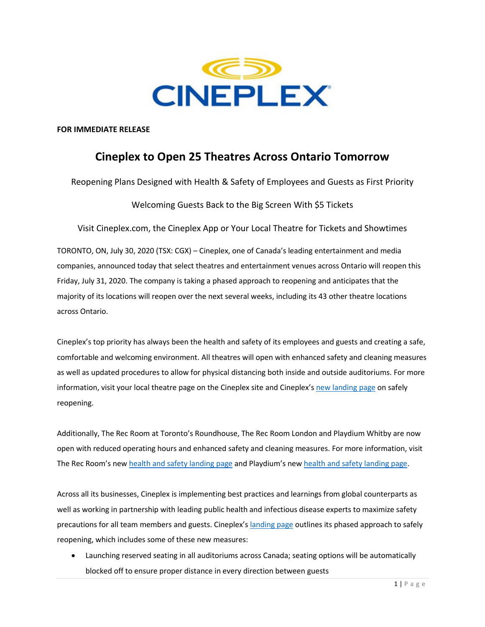

**FOR IMMEDIATE RELEASE** 

## **Cineplex to Open 25 Theatres Across Ontario Tomorrow**

Reopening Plans Designed with Health & Safety of Employees and Guests as First Priority

Welcoming Guests Back to the Big Screen With \$5 Tickets

Visit Cineplex.com, the Cineplex App or Your Local Theatre for Tickets and Showtimes

TORONTO, ON, July 30, 2020 (TSX: CGX) – Cineplex, one of Canada's leading entertainment and media companies, announced today that select theatres and entertainment venues across Ontario will reopen this Friday, July 31, 2020. The company is taking a phased approach to reopening and anticipates that the majority of its locations will reopen over the next several weeks, including its 43 other theatre locations across Ontario.

Cineplex's top priority has always been the health and safety of its employees and guests and creating a safe, comfortable and welcoming environment. All theatres will open with enhanced safety and cleaning measures as well as updated procedures to allow for physical distancing both inside and outside auditoriums. For more information, visit your local theatre page on the Cineplex site and Cineplex's [new landing page](https://www.cineplex.com/Global/health-and-safety?utm_medium=referral&utm_source=comms%20pr&utm_campaign=reopening%20ON&utm_content=health%20safety) on safely reopening.

Additionally, The Rec Room at Toronto's Roundhouse, The Rec Room London and Playdium Whitby are now open with reduced operating hours and enhanced safety and cleaning measures. For more information, visit The Rec Room's new [health and safety landing](https://www.therecroom.com/healthandsafety?utm_medium=referral&utm_source=comms%20pr&utm_campaign=reopening%20ON&utm_content=health%20safety) page and Playdium's new [health and safety landing page.](https://www.playdium.com/healthandsafety?utm_medium=referral&utm_source=comms%20pr&utm_campaign=reopening%20ON&utm_content=health%20safety)

Across all its businesses, Cineplex is implementing best practices and learnings from global counterparts as well as working in partnership with leading public health and infectious disease experts to maximize safety precautions for all team members and guests. Cineplex's [landing page](https://www.cineplex.com/Global/health-and-safety?utm_medium=referral&utm_source=comms%20pr&utm_campaign=reopening%20ON&utm_content=health%20safety) outlines its phased approach to safely reopening, which includes some of these new measures:

• Launching reserved seating in all auditoriums across Canada; seating options will be automatically blocked off to ensure proper distance in every direction between guests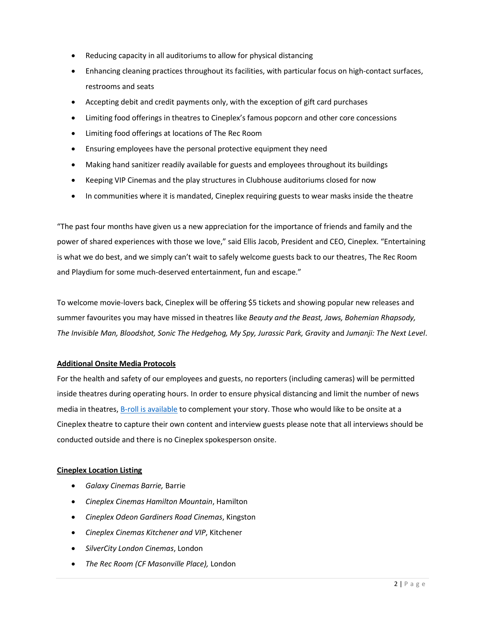- Reducing capacity in all auditoriums to allow for physical distancing
- Enhancing cleaning practices throughout its facilities, with particular focus on high-contact surfaces, restrooms and seats
- Accepting debit and credit payments only, with the exception of gift card purchases
- Limiting food offerings in theatres to Cineplex's famous popcorn and other core concessions
- Limiting food offerings at locations of The Rec Room
- Ensuring employees have the personal protective equipment they need
- Making hand sanitizer readily available for guests and employees throughout its buildings
- Keeping VIP Cinemas and the play structures in Clubhouse auditoriums closed for now
- In communities where it is mandated, Cineplex requiring guests to wear masks inside the theatre

"The past four months have given us a new appreciation for the importance of friends and family and the power of shared experiences with those we love," said Ellis Jacob, President and CEO, Cineplex. "Entertaining is what we do best, and we simply can't wait to safely welcome guests back to our theatres, The Rec Room and Playdium for some much-deserved entertainment, fun and escape."

To welcome movie-lovers back, Cineplex will be offering \$5 tickets and showing popular new releases and summer favourites you may have missed in theatres like *Beauty and the Beast, Jaws, Bohemian Rhapsody, The Invisible Man, Bloodshot, Sonic The Hedgehog, My Spy, Jurassic Park, Gravity* and *Jumanji: The Next Level*.

## **Additional Onsite Media Protocols**

For the health and safety of our employees and guests, no reporters (including cameras) will be permitted inside theatres during operating hours. In order to ensure physical distancing and limit the number of news media in theatres, [B-roll is available](https://cineplex.box.com/s/2nbshic7wk56vt1ovxtx9p4vjwtr2fqk) to complement your story. Those who would like to be onsite at a Cineplex theatre to capture their own content and interview guests please note that all interviews should be conducted outside and there is no Cineplex spokesperson onsite.

## **Cineplex Location Listing**

- *Galaxy Cinemas Barrie,* Barrie
- *Cineplex Cinemas Hamilton Mountain*, Hamilton
- *Cineplex Odeon Gardiners Road Cinemas*, Kingston
- *Cineplex Cinemas Kitchener and VIP*, Kitchener
- *SilverCity London Cinemas*, London
- *The Rec Room (CF Masonville Place),* London